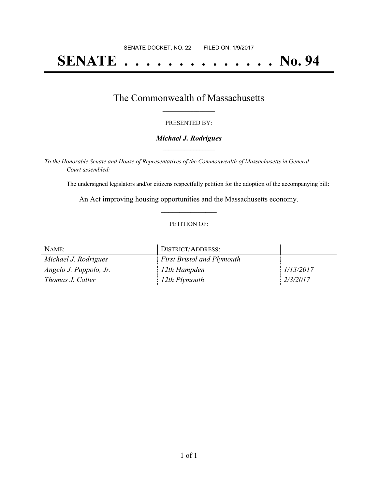# **SENATE . . . . . . . . . . . . . . No. 94**

# The Commonwealth of Massachusetts **\_\_\_\_\_\_\_\_\_\_\_\_\_\_\_\_\_**

### PRESENTED BY:

### *Michael J. Rodrigues* **\_\_\_\_\_\_\_\_\_\_\_\_\_\_\_\_\_**

*To the Honorable Senate and House of Representatives of the Commonwealth of Massachusetts in General Court assembled:*

The undersigned legislators and/or citizens respectfully petition for the adoption of the accompanying bill:

An Act improving housing opportunities and the Massachusetts economy. **\_\_\_\_\_\_\_\_\_\_\_\_\_\_\_**

#### PETITION OF:

| NAME:                  | DISTRICT/ADDRESS:                 |           |
|------------------------|-----------------------------------|-----------|
| Michael J. Rodrigues   | <b>First Bristol and Plymouth</b> |           |
| Angelo J. Puppolo, Jr. | <sup>1</sup> 12th Hampden         | 1/13/2017 |
| Thomas J. Calter       | 12th Plymouth                     | 2/3/2017  |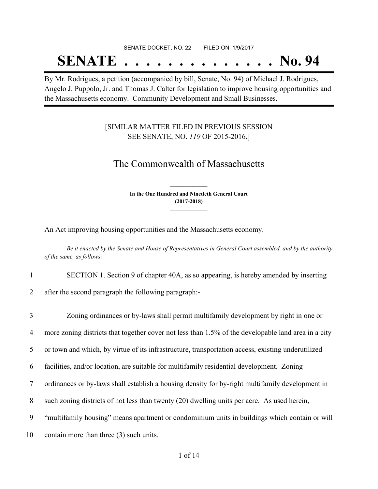### SENATE DOCKET, NO. 22 FILED ON: 1/9/2017

# **SENATE . . . . . . . . . . . . . . No. 94**

By Mr. Rodrigues, a petition (accompanied by bill, Senate, No. 94) of Michael J. Rodrigues, Angelo J. Puppolo, Jr. and Thomas J. Calter for legislation to improve housing opportunities and the Massachusetts economy. Community Development and Small Businesses.

### [SIMILAR MATTER FILED IN PREVIOUS SESSION SEE SENATE, NO. *119* OF 2015-2016.]

## The Commonwealth of Massachusetts

**In the One Hundred and Ninetieth General Court (2017-2018) \_\_\_\_\_\_\_\_\_\_\_\_\_\_\_**

**\_\_\_\_\_\_\_\_\_\_\_\_\_\_\_**

An Act improving housing opportunities and the Massachusetts economy.

Be it enacted by the Senate and House of Representatives in General Court assembled, and by the authority *of the same, as follows:*

1 SECTION 1. Section 9 of chapter 40A, as so appearing, is hereby amended by inserting

2 after the second paragraph the following paragraph:-

 Zoning ordinances or by-laws shall permit multifamily development by right in one or more zoning districts that together cover not less than 1.5% of the developable land area in a city or town and which, by virtue of its infrastructure, transportation access, existing underutilized facilities, and/or location, are suitable for multifamily residential development. Zoning ordinances or by-laws shall establish a housing density for by-right multifamily development in such zoning districts of not less than twenty (20) dwelling units per acre. As used herein, "multifamily housing" means apartment or condominium units in buildings which contain or will contain more than three (3) such units.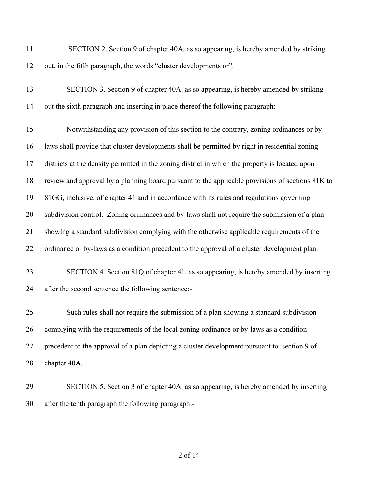- SECTION 2. Section 9 of chapter 40A, as so appearing, is hereby amended by striking out, in the fifth paragraph, the words "cluster developments or".
- SECTION 3. Section 9 of chapter 40A, as so appearing, is hereby amended by striking out the sixth paragraph and inserting in place thereof the following paragraph:-

 Notwithstanding any provision of this section to the contrary, zoning ordinances or by- laws shall provide that cluster developments shall be permitted by right in residential zoning districts at the density permitted in the zoning district in which the property is located upon review and approval by a planning board pursuant to the applicable provisions of sections 81K to 81GG, inclusive, of chapter 41 and in accordance with its rules and regulations governing subdivision control. Zoning ordinances and by-laws shall not require the submission of a plan showing a standard subdivision complying with the otherwise applicable requirements of the ordinance or by-laws as a condition precedent to the approval of a cluster development plan.

# SECTION 4. Section 81Q of chapter 41, as so appearing, is hereby amended by inserting after the second sentence the following sentence:-

 Such rules shall not require the submission of a plan showing a standard subdivision complying with the requirements of the local zoning ordinance or by-laws as a condition precedent to the approval of a plan depicting a cluster development pursuant to section 9 of chapter 40A.

 SECTION 5. Section 3 of chapter 40A, as so appearing, is hereby amended by inserting after the tenth paragraph the following paragraph:-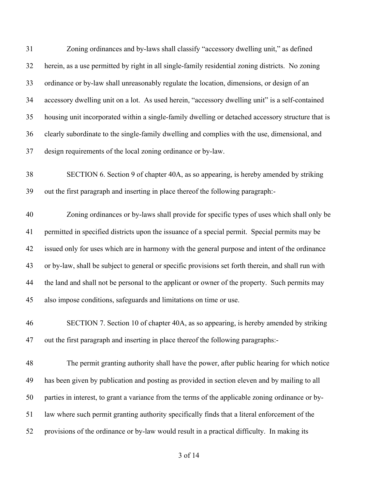| 31 | Zoning ordinances and by-laws shall classify "accessory dwelling unit," as defined                  |
|----|-----------------------------------------------------------------------------------------------------|
| 32 | herein, as a use permitted by right in all single-family residential zoning districts. No zoning    |
| 33 | ordinance or by-law shall unreasonably regulate the location, dimensions, or design of an           |
| 34 | accessory dwelling unit on a lot. As used herein, "accessory dwelling unit" is a self-contained     |
| 35 | housing unit incorporated within a single-family dwelling or detached accessory structure that is   |
| 36 | clearly subordinate to the single-family dwelling and complies with the use, dimensional, and       |
| 37 | design requirements of the local zoning ordinance or by-law.                                        |
| 38 | SECTION 6. Section 9 of chapter 40A, as so appearing, is hereby amended by striking                 |
| 39 | out the first paragraph and inserting in place thereof the following paragraph:-                    |
| 40 | Zoning ordinances or by-laws shall provide for specific types of uses which shall only be           |
| 41 | permitted in specified districts upon the issuance of a special permit. Special permits may be      |
| 42 | issued only for uses which are in harmony with the general purpose and intent of the ordinance      |
| 43 | or by-law, shall be subject to general or specific provisions set forth therein, and shall run with |
| 44 | the land and shall not be personal to the applicant or owner of the property. Such permits may      |
| 45 | also impose conditions, safeguards and limitations on time or use.                                  |
| 46 | SECTION 7. Section 10 of chapter 40A, as so appearing, is hereby amended by striking                |
| 47 | out the first paragraph and inserting in place thereof the following paragraphs:-                   |
| 48 | The permit granting authority shall have the power, after public hearing for which notice           |
| 49 | has been given by publication and posting as provided in section eleven and by mailing to all       |
| 50 | parties in interest, to grant a variance from the terms of the applicable zoning ordinance or by-   |
| 51 | law where such permit granting authority specifically finds that a literal enforcement of the       |
| 52 | provisions of the ordinance or by-law would result in a practical difficulty. In making its         |
|    |                                                                                                     |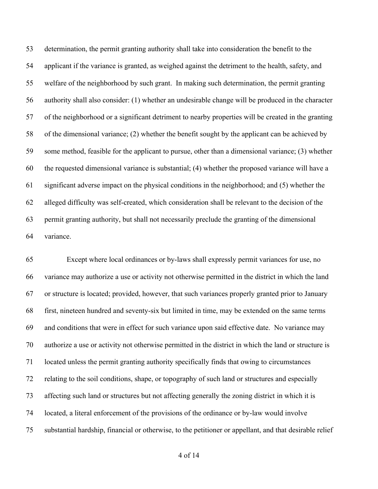determination, the permit granting authority shall take into consideration the benefit to the applicant if the variance is granted, as weighed against the detriment to the health, safety, and welfare of the neighborhood by such grant. In making such determination, the permit granting authority shall also consider: (1) whether an undesirable change will be produced in the character of the neighborhood or a significant detriment to nearby properties will be created in the granting of the dimensional variance; (2) whether the benefit sought by the applicant can be achieved by some method, feasible for the applicant to pursue, other than a dimensional variance; (3) whether the requested dimensional variance is substantial; (4) whether the proposed variance will have a significant adverse impact on the physical conditions in the neighborhood; and (5) whether the alleged difficulty was self-created, which consideration shall be relevant to the decision of the permit granting authority, but shall not necessarily preclude the granting of the dimensional variance.

 Except where local ordinances or by-laws shall expressly permit variances for use, no variance may authorize a use or activity not otherwise permitted in the district in which the land or structure is located; provided, however, that such variances properly granted prior to January first, nineteen hundred and seventy-six but limited in time, may be extended on the same terms and conditions that were in effect for such variance upon said effective date. No variance may authorize a use or activity not otherwise permitted in the district in which the land or structure is located unless the permit granting authority specifically finds that owing to circumstances relating to the soil conditions, shape, or topography of such land or structures and especially affecting such land or structures but not affecting generally the zoning district in which it is located, a literal enforcement of the provisions of the ordinance or by-law would involve substantial hardship, financial or otherwise, to the petitioner or appellant, and that desirable relief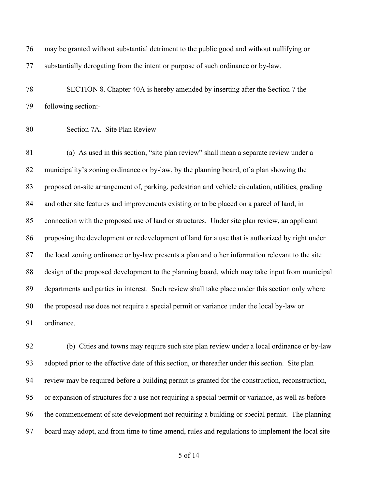may be granted without substantial detriment to the public good and without nullifying or substantially derogating from the intent or purpose of such ordinance or by-law.

 SECTION 8. Chapter 40A is hereby amended by inserting after the Section 7 the following section:-

Section 7A. Site Plan Review

 (a) As used in this section, "site plan review" shall mean a separate review under a municipality's zoning ordinance or by-law, by the planning board, of a plan showing the proposed on-site arrangement of, parking, pedestrian and vehicle circulation, utilities, grading and other site features and improvements existing or to be placed on a parcel of land, in connection with the proposed use of land or structures. Under site plan review, an applicant proposing the development or redevelopment of land for a use that is authorized by right under the local zoning ordinance or by-law presents a plan and other information relevant to the site design of the proposed development to the planning board, which may take input from municipal departments and parties in interest. Such review shall take place under this section only where the proposed use does not require a special permit or variance under the local by-law or ordinance.

 (b) Cities and towns may require such site plan review under a local ordinance or by-law adopted prior to the effective date of this section, or thereafter under this section. Site plan review may be required before a building permit is granted for the construction, reconstruction, or expansion of structures for a use not requiring a special permit or variance, as well as before the commencement of site development not requiring a building or special permit. The planning board may adopt, and from time to time amend, rules and regulations to implement the local site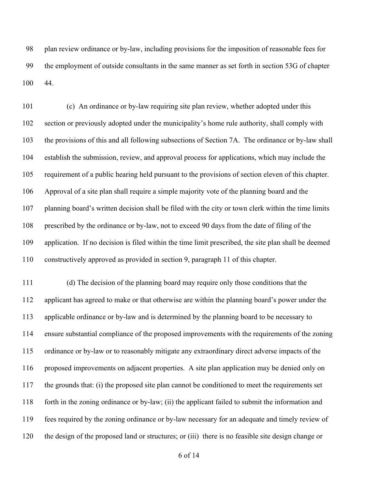plan review ordinance or by-law, including provisions for the imposition of reasonable fees for the employment of outside consultants in the same manner as set forth in section 53G of chapter 44.

 (c) An ordinance or by-law requiring site plan review, whether adopted under this section or previously adopted under the municipality's home rule authority, shall comply with the provisions of this and all following subsections of Section 7A. The ordinance or by-law shall establish the submission, review, and approval process for applications, which may include the requirement of a public hearing held pursuant to the provisions of section eleven of this chapter. Approval of a site plan shall require a simple majority vote of the planning board and the planning board's written decision shall be filed with the city or town clerk within the time limits prescribed by the ordinance or by-law, not to exceed 90 days from the date of filing of the application. If no decision is filed within the time limit prescribed, the site plan shall be deemed constructively approved as provided in section 9, paragraph 11 of this chapter.

 (d) The decision of the planning board may require only those conditions that the applicant has agreed to make or that otherwise are within the planning board's power under the applicable ordinance or by-law and is determined by the planning board to be necessary to ensure substantial compliance of the proposed improvements with the requirements of the zoning ordinance or by-law or to reasonably mitigate any extraordinary direct adverse impacts of the proposed improvements on adjacent properties. A site plan application may be denied only on the grounds that: (i) the proposed site plan cannot be conditioned to meet the requirements set forth in the zoning ordinance or by-law; (ii) the applicant failed to submit the information and fees required by the zoning ordinance or by-law necessary for an adequate and timely review of the design of the proposed land or structures; or (iii) there is no feasible site design change or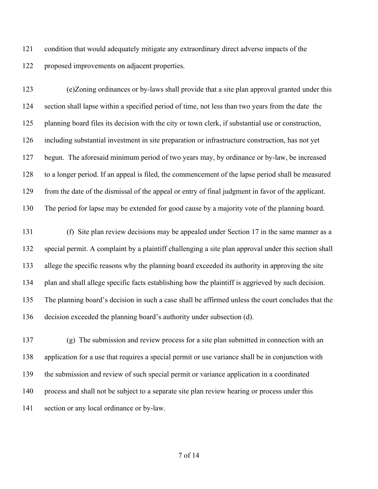condition that would adequately mitigate any extraordinary direct adverse impacts of the proposed improvements on adjacent properties.

 (e)Zoning ordinances or by-laws shall provide that a site plan approval granted under this section shall lapse within a specified period of time, not less than two years from the date the planning board files its decision with the city or town clerk, if substantial use or construction, including substantial investment in site preparation or infrastructure construction, has not yet begun. The aforesaid minimum period of two years may, by ordinance or by-law, be increased to a longer period. If an appeal is filed, the commencement of the lapse period shall be measured from the date of the dismissal of the appeal or entry of final judgment in favor of the applicant. The period for lapse may be extended for good cause by a majority vote of the planning board.

 (f) Site plan review decisions may be appealed under Section 17 in the same manner as a special permit. A complaint by a plaintiff challenging a site plan approval under this section shall allege the specific reasons why the planning board exceeded its authority in approving the site plan and shall allege specific facts establishing how the plaintiff is aggrieved by such decision. The planning board's decision in such a case shall be affirmed unless the court concludes that the decision exceeded the planning board's authority under subsection (d).

 (g) The submission and review process for a site plan submitted in connection with an application for a use that requires a special permit or use variance shall be in conjunction with the submission and review of such special permit or variance application in a coordinated process and shall not be subject to a separate site plan review hearing or process under this section or any local ordinance or by-law.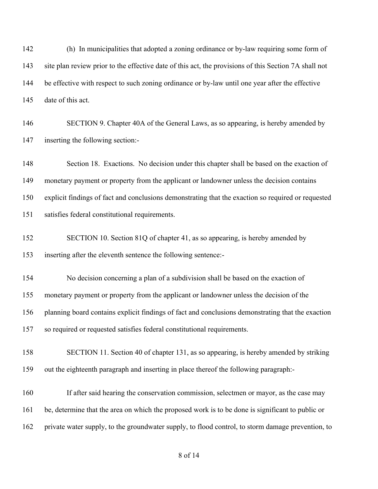(h) In municipalities that adopted a zoning ordinance or by-law requiring some form of site plan review prior to the effective date of this act, the provisions of this Section 7A shall not be effective with respect to such zoning ordinance or by-law until one year after the effective date of this act.

 SECTION 9. Chapter 40A of the General Laws, as so appearing, is hereby amended by inserting the following section:-

 Section 18. Exactions. No decision under this chapter shall be based on the exaction of monetary payment or property from the applicant or landowner unless the decision contains explicit findings of fact and conclusions demonstrating that the exaction so required or requested satisfies federal constitutional requirements.

 SECTION 10. Section 81Q of chapter 41, as so appearing, is hereby amended by inserting after the eleventh sentence the following sentence:-

 No decision concerning a plan of a subdivision shall be based on the exaction of monetary payment or property from the applicant or landowner unless the decision of the planning board contains explicit findings of fact and conclusions demonstrating that the exaction so required or requested satisfies federal constitutional requirements.

 SECTION 11. Section 40 of chapter 131, as so appearing, is hereby amended by striking out the eighteenth paragraph and inserting in place thereof the following paragraph:-

 If after said hearing the conservation commission, selectmen or mayor, as the case may be, determine that the area on which the proposed work is to be done is significant to public or private water supply, to the groundwater supply, to flood control, to storm damage prevention, to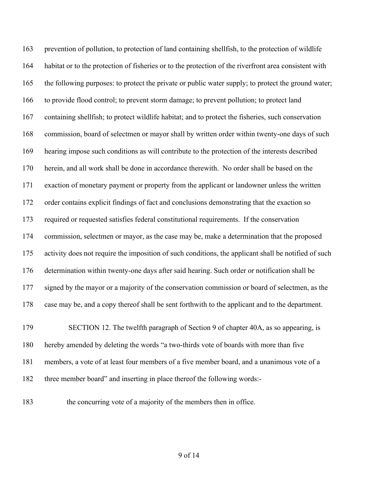prevention of pollution, to protection of land containing shellfish, to the protection of wildlife habitat or to the protection of fisheries or to the protection of the riverfront area consistent with the following purposes: to protect the private or public water supply; to protect the ground water; to provide flood control; to prevent storm damage; to prevent pollution; to protect land containing shellfish; to protect wildlife habitat; and to protect the fisheries, such conservation commission, board of selectmen or mayor shall by written order within twenty-one days of such hearing impose such conditions as will contribute to the protection of the interests described herein, and all work shall be done in accordance therewith. No order shall be based on the exaction of monetary payment or property from the applicant or landowner unless the written order contains explicit findings of fact and conclusions demonstrating that the exaction so required or requested satisfies federal constitutional requirements. If the conservation commission, selectmen or mayor, as the case may be, make a determination that the proposed activity does not require the imposition of such conditions, the applicant shall be notified of such determination within twenty-one days after said hearing. Such order or notification shall be 177 signed by the mayor or a majority of the conservation commission or board of selectmen, as the case may be, and a copy thereof shall be sent forthwith to the applicant and to the department. SECTION 12. The twelfth paragraph of Section 9 of chapter 40A, as so appearing, is

 hereby amended by deleting the words "a two-thirds vote of boards with more than five members, a vote of at least four members of a five member board, and a unanimous vote of a three member board" and inserting in place thereof the following words:-

the concurring vote of a majority of the members then in office.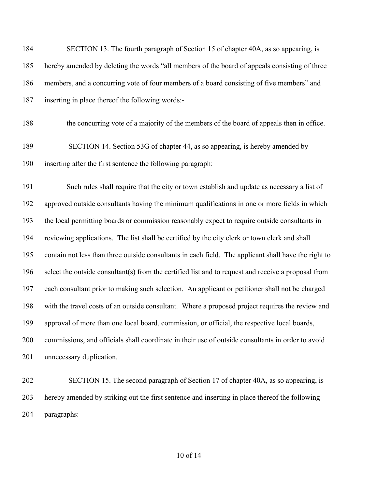| 184 | SECTION 13. The fourth paragraph of Section 15 of chapter 40A, as so appearing, is                   |
|-----|------------------------------------------------------------------------------------------------------|
| 185 | hereby amended by deleting the words "all members of the board of appeals consisting of three        |
| 186 | members, and a concurring vote of four members of a board consisting of five members" and            |
| 187 | inserting in place thereof the following words:-                                                     |
| 188 | the concurring vote of a majority of the members of the board of appeals then in office.             |
| 189 | SECTION 14. Section 53G of chapter 44, as so appearing, is hereby amended by                         |
| 190 | inserting after the first sentence the following paragraph:                                          |
| 191 | Such rules shall require that the city or town establish and update as necessary a list of           |
| 192 | approved outside consultants having the minimum qualifications in one or more fields in which        |
| 193 | the local permitting boards or commission reasonably expect to require outside consultants in        |
| 194 | reviewing applications. The list shall be certified by the city clerk or town clerk and shall        |
| 195 | contain not less than three outside consultants in each field. The applicant shall have the right to |
| 196 | select the outside consultant(s) from the certified list and to request and receive a proposal from  |
| 197 | each consultant prior to making such selection. An applicant or petitioner shall not be charged      |
| 198 | with the travel costs of an outside consultant. Where a proposed project requires the review and     |
| 199 | approval of more than one local board, commission, or official, the respective local boards,         |
| 200 | commissions, and officials shall coordinate in their use of outside consultants in order to avoid    |
| 201 | unnecessary duplication.                                                                             |
| 202 | SECTION 15. The second paragraph of Section 17 of chapter 40A, as so appearing, is                   |
| 203 | hereby amended by striking out the first sentence and inserting in place thereof the following       |

paragraphs:-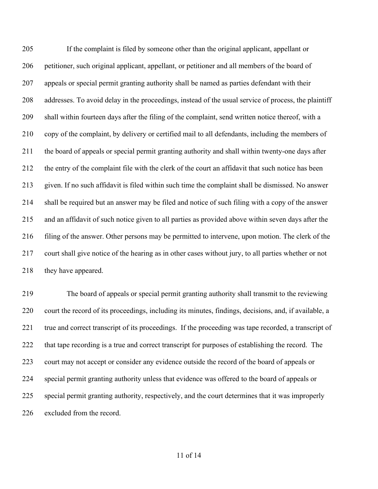If the complaint is filed by someone other than the original applicant, appellant or petitioner, such original applicant, appellant, or petitioner and all members of the board of appeals or special permit granting authority shall be named as parties defendant with their addresses. To avoid delay in the proceedings, instead of the usual service of process, the plaintiff shall within fourteen days after the filing of the complaint, send written notice thereof, with a copy of the complaint, by delivery or certified mail to all defendants, including the members of the board of appeals or special permit granting authority and shall within twenty-one days after the entry of the complaint file with the clerk of the court an affidavit that such notice has been given. If no such affidavit is filed within such time the complaint shall be dismissed. No answer shall be required but an answer may be filed and notice of such filing with a copy of the answer and an affidavit of such notice given to all parties as provided above within seven days after the filing of the answer. Other persons may be permitted to intervene, upon motion. The clerk of the court shall give notice of the hearing as in other cases without jury, to all parties whether or not 218 they have appeared.

 The board of appeals or special permit granting authority shall transmit to the reviewing court the record of its proceedings, including its minutes, findings, decisions, and, if available, a true and correct transcript of its proceedings. If the proceeding was tape recorded, a transcript of that tape recording is a true and correct transcript for purposes of establishing the record. The court may not accept or consider any evidence outside the record of the board of appeals or special permit granting authority unless that evidence was offered to the board of appeals or special permit granting authority, respectively, and the court determines that it was improperly excluded from the record.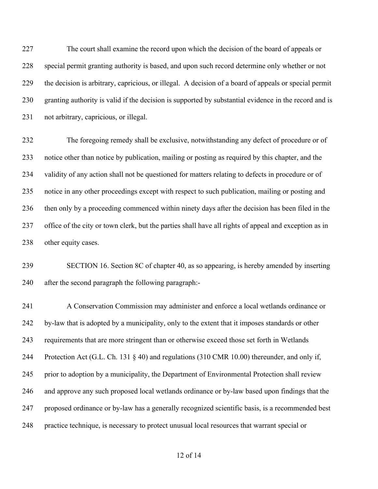The court shall examine the record upon which the decision of the board of appeals or special permit granting authority is based, and upon such record determine only whether or not the decision is arbitrary, capricious, or illegal. A decision of a board of appeals or special permit granting authority is valid if the decision is supported by substantial evidence in the record and is not arbitrary, capricious, or illegal.

 The foregoing remedy shall be exclusive, notwithstanding any defect of procedure or of notice other than notice by publication, mailing or posting as required by this chapter, and the validity of any action shall not be questioned for matters relating to defects in procedure or of notice in any other proceedings except with respect to such publication, mailing or posting and then only by a proceeding commenced within ninety days after the decision has been filed in the office of the city or town clerk, but the parties shall have all rights of appeal and exception as in 238 other equity cases.

 SECTION 16. Section 8C of chapter 40, as so appearing, is hereby amended by inserting after the second paragraph the following paragraph:-

 A Conservation Commission may administer and enforce a local wetlands ordinance or by-law that is adopted by a municipality, only to the extent that it imposes standards or other requirements that are more stringent than or otherwise exceed those set forth in Wetlands Protection Act (G.L. Ch. 131 § 40) and regulations (310 CMR 10.00) thereunder, and only if, prior to adoption by a municipality, the Department of Environmental Protection shall review and approve any such proposed local wetlands ordinance or by-law based upon findings that the proposed ordinance or by-law has a generally recognized scientific basis, is a recommended best practice technique, is necessary to protect unusual local resources that warrant special or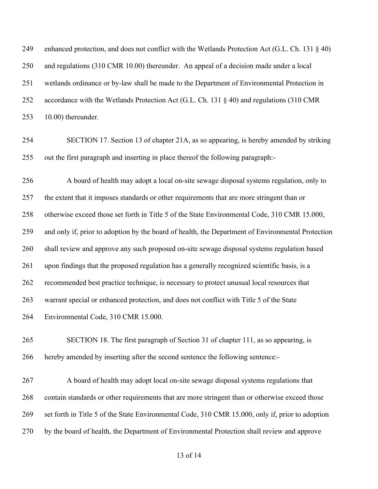enhanced protection, and does not conflict with the Wetlands Protection Act (G.L. Ch. 131 § 40) and regulations (310 CMR 10.00) thereunder. An appeal of a decision made under a local wetlands ordinance or by-law shall be made to the Department of Environmental Protection in accordance with the Wetlands Protection Act (G.L. Ch. 131 § 40) and regulations (310 CMR 10.00) thereunder.

 SECTION 17. Section 13 of chapter 21A, as so appearing, is hereby amended by striking out the first paragraph and inserting in place thereof the following paragraph:-

 A board of health may adopt a local on-site sewage disposal systems regulation, only to 257 the extent that it imposes standards or other requirements that are more stringent than or otherwise exceed those set forth in Title 5 of the State Environmental Code, 310 CMR 15.000, and only if, prior to adoption by the board of health, the Department of Environmental Protection shall review and approve any such proposed on-site sewage disposal systems regulation based upon findings that the proposed regulation has a generally recognized scientific basis, is a recommended best practice technique, is necessary to protect unusual local resources that warrant special or enhanced protection, and does not conflict with Title 5 of the State Environmental Code, 310 CMR 15.000.

 SECTION 18. The first paragraph of Section 31 of chapter 111, as so appearing, is hereby amended by inserting after the second sentence the following sentence:-

 A board of health may adopt local on-site sewage disposal systems regulations that contain standards or other requirements that are more stringent than or otherwise exceed those set forth in Title 5 of the State Environmental Code, 310 CMR 15.000, only if, prior to adoption by the board of health, the Department of Environmental Protection shall review and approve